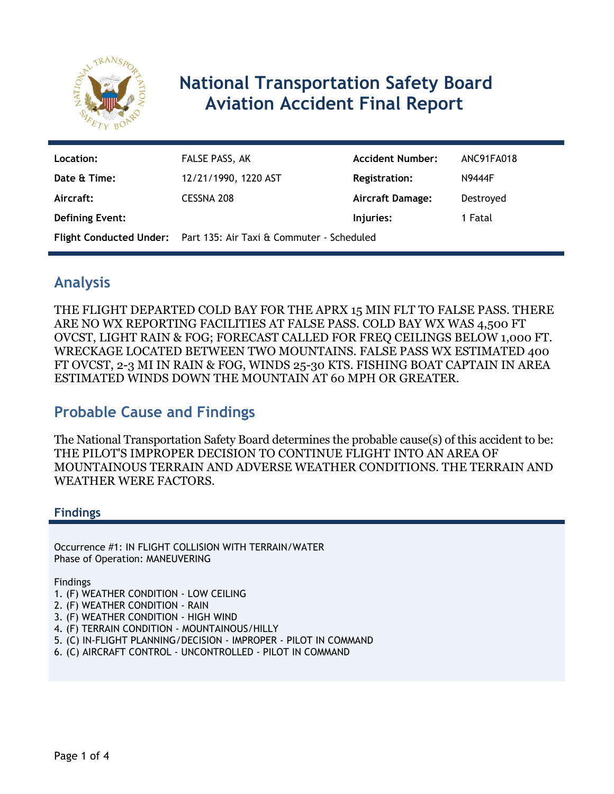

# **National Transportation Safety Board Aviation Accident Final Report**

| Location:              | FALSE PASS, AK                                                           | <b>Accident Number:</b> | ANC91FA018    |
|------------------------|--------------------------------------------------------------------------|-------------------------|---------------|
| Date & Time:           | 12/21/1990, 1220 AST                                                     | <b>Registration:</b>    | <b>N9444F</b> |
| Aircraft:              | CESSNA 208                                                               | <b>Aircraft Damage:</b> | Destroyed     |
| <b>Defining Event:</b> |                                                                          | Injuries:               | 1 Fatal       |
|                        | <b>Flight Conducted Under:</b> Part 135: Air Taxi & Commuter - Scheduled |                         |               |

## **Analysis**

THE FLIGHT DEPARTED COLD BAY FOR THE APRX 15 MIN FLT TO FALSE PASS. THERE ARE NO WX REPORTING FACILITIES AT FALSE PASS. COLD BAY WX WAS 4,500 FT OVCST, LIGHT RAIN & FOG; FORECAST CALLED FOR FREQ CEILINGS BELOW 1,000 FT. WRECKAGE LOCATED BETWEEN TWO MOUNTAINS. FALSE PASS WX ESTIMATED 400 FT OVCST, 2-3 MI IN RAIN & FOG, WINDS 25-30 KTS. FISHING BOAT CAPTAIN IN AREA ESTIMATED WINDS DOWN THE MOUNTAIN AT 60 MPH OR GREATER.

## **Probable Cause and Findings**

The National Transportation Safety Board determines the probable cause(s) of this accident to be: THE PILOT'S IMPROPER DECISION TO CONTINUE FLIGHT INTO AN AREA OF MOUNTAINOUS TERRAIN AND ADVERSE WEATHER CONDITIONS. THE TERRAIN AND WEATHER WERE FACTORS.

#### **Findings**

Occurrence #1: IN FLIGHT COLLISION WITH TERRAIN/WATER Phase of Operation: MANEUVERING

Findings

- 1. (F) WEATHER CONDITION LOW CEILING
- 2. (F) WEATHER CONDITION RAIN
- 3. (F) WEATHER CONDITION HIGH WIND
- 4. (F) TERRAIN CONDITION MOUNTAINOUS/HILLY
- 5. (C) IN-FLIGHT PLANNING/DECISION IMPROPER PILOT IN COMMAND
- 6. (C) AIRCRAFT CONTROL UNCONTROLLED PILOT IN COMMAND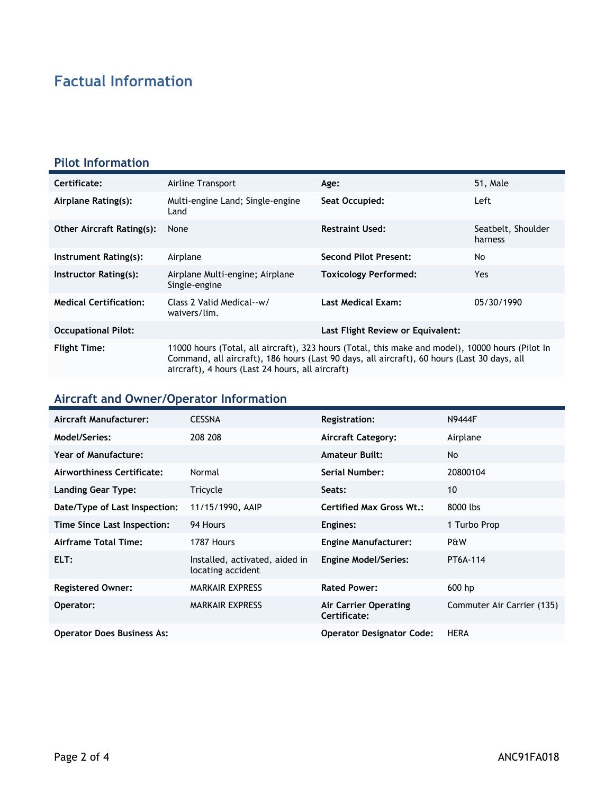# **Factual Information**

#### **Pilot Information**

| Certificate:                     | Airline Transport                                                                                                                                                                                                                                   | Age:                              | 51, Male                      |
|----------------------------------|-----------------------------------------------------------------------------------------------------------------------------------------------------------------------------------------------------------------------------------------------------|-----------------------------------|-------------------------------|
| Airplane Rating(s):              | Multi-engine Land; Single-engine<br>Land                                                                                                                                                                                                            | Seat Occupied:                    | Left                          |
| <b>Other Aircraft Rating(s):</b> | None                                                                                                                                                                                                                                                | <b>Restraint Used:</b>            | Seatbelt, Shoulder<br>harness |
| Instrument Rating(s):            | Airplane                                                                                                                                                                                                                                            | <b>Second Pilot Present:</b>      | No                            |
| Instructor Rating(s):            | Airplane Multi-engine; Airplane<br>Single-engine                                                                                                                                                                                                    | <b>Toxicology Performed:</b>      | Yes.                          |
| <b>Medical Certification:</b>    | Class 2 Valid Medical--w/<br>waivers/lim.                                                                                                                                                                                                           | <b>Last Medical Exam:</b>         | 05/30/1990                    |
| <b>Occupational Pilot:</b>       |                                                                                                                                                                                                                                                     | Last Flight Review or Equivalent: |                               |
| <b>Flight Time:</b>              | 11000 hours (Total, all aircraft), 323 hours (Total, this make and model), 10000 hours (Pilot In<br>Command, all aircraft), 186 hours (Last 90 days, all aircraft), 60 hours (Last 30 days, all<br>aircraft), 4 hours (Last 24 hours, all aircraft) |                                   |                               |

# **Aircraft and Owner/Operator Information**

| Aircraft Manufacturer:            | <b>CESSNA</b>                                       | <b>Registration:</b>                  | <b>N9444F</b>              |
|-----------------------------------|-----------------------------------------------------|---------------------------------------|----------------------------|
| Model/Series:                     | 208 208                                             | <b>Aircraft Category:</b>             | Airplane                   |
| <b>Year of Manufacture:</b>       |                                                     | <b>Amateur Built:</b>                 | <b>No</b>                  |
| Airworthiness Certificate:        | Normal                                              | <b>Serial Number:</b>                 | 20800104                   |
| <b>Landing Gear Type:</b>         | Tricycle                                            | Seats:                                | 10                         |
| Date/Type of Last Inspection:     | 11/15/1990, AAIP                                    | <b>Certified Max Gross Wt.:</b>       | 8000 lbs                   |
| Time Since Last Inspection:       | 94 Hours                                            | Engines:                              | 1 Turbo Prop               |
| Airframe Total Time:              | 1787 Hours                                          | <b>Engine Manufacturer:</b>           | P&W                        |
| ELT:                              | Installed, activated, aided in<br>locating accident | <b>Engine Model/Series:</b>           | PT6A-114                   |
| <b>Registered Owner:</b>          | <b>MARKAIR EXPRESS</b>                              | <b>Rated Power:</b>                   | 600 hp                     |
| Operator:                         | <b>MARKAIR EXPRESS</b>                              | Air Carrier Operating<br>Certificate: | Commuter Air Carrier (135) |
| <b>Operator Does Business As:</b> |                                                     | <b>Operator Designator Code:</b>      | <b>HERA</b>                |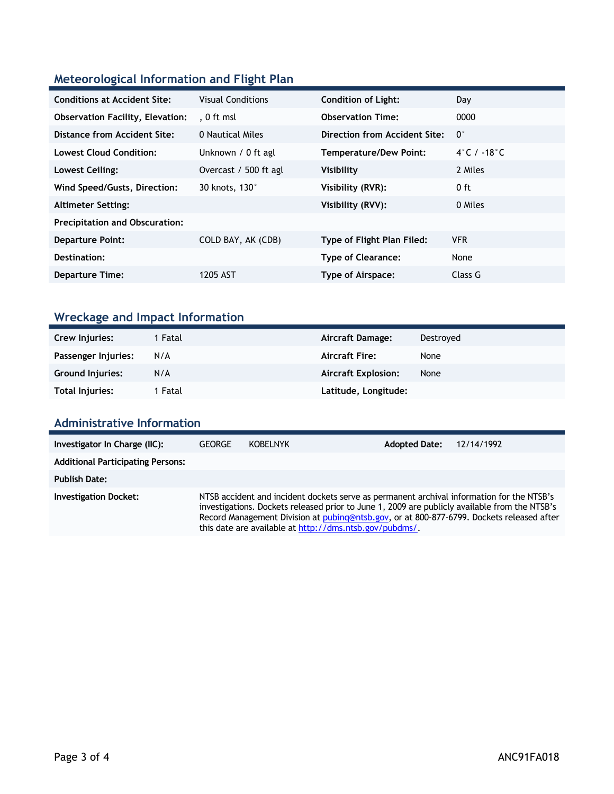### **Meteorological Information and Flight Plan**

| <b>Conditions at Accident Site:</b>     | <b>Visual Conditions</b> | <b>Condition of Light:</b>        | Day         |
|-----------------------------------------|--------------------------|-----------------------------------|-------------|
| <b>Observation Facility, Elevation:</b> | . 0 ft msl               | <b>Observation Time:</b>          | 0000        |
| Distance from Accident Site:            | 0 Nautical Miles         | Direction from Accident Site:     | $0^{\circ}$ |
| Lowest Cloud Condition:                 | Unknown / 0 ft agl       | Temperature/Dew Point:            | 4°C / -18°C |
| Lowest Ceiling:                         | Overcast / 500 ft agl    | Visibility                        | 2 Miles     |
| Wind Speed/Gusts, Direction:            | 30 knots, 130°           | Visibility (RVR):                 | 0 ft        |
| <b>Altimeter Setting:</b>               |                          | Visibility (RVV):                 | 0 Miles     |
| <b>Precipitation and Obscuration:</b>   |                          |                                   |             |
| <b>Departure Point:</b>                 | COLD BAY, AK (CDB)       | <b>Type of Flight Plan Filed:</b> | <b>VFR</b>  |
| Destination:                            |                          | <b>Type of Clearance:</b>         | None        |
| <b>Departure Time:</b>                  | 1205 AST                 | Type of Airspace:                 | Class G     |
|                                         |                          |                                   |             |

# **Wreckage and Impact Information**

| Crew Injuries:          | 1 Fatal | <b>Aircraft Damage:</b>    | Destroved |
|-------------------------|---------|----------------------------|-----------|
| Passenger Injuries:     | N/A     | <b>Aircraft Fire:</b>      | None      |
| <b>Ground Injuries:</b> | N/A     | <b>Aircraft Explosion:</b> | None      |
| <b>Total Injuries:</b>  | 1 Fatal | Latitude, Longitude:       |           |

### **Administrative Information**

| Investigator In Charge (IIC):            | <b>GEORGE</b>                                                                                                                                                                                                                                                                                                                                      | <b>KOBELNYK</b> | <b>Adopted Date:</b> | 12/14/1992 |
|------------------------------------------|----------------------------------------------------------------------------------------------------------------------------------------------------------------------------------------------------------------------------------------------------------------------------------------------------------------------------------------------------|-----------------|----------------------|------------|
| <b>Additional Participating Persons:</b> |                                                                                                                                                                                                                                                                                                                                                    |                 |                      |            |
| <b>Publish Date:</b>                     |                                                                                                                                                                                                                                                                                                                                                    |                 |                      |            |
| <b>Investigation Docket:</b>             | NTSB accident and incident dockets serve as permanent archival information for the NTSB's<br>investigations. Dockets released prior to June 1, 2009 are publicly available from the NTSB's<br>Record Management Division at pubing@ntsb.gov, or at 800-877-6799. Dockets released after<br>this date are available at http://dms.ntsb.gov/pubdms/. |                 |                      |            |